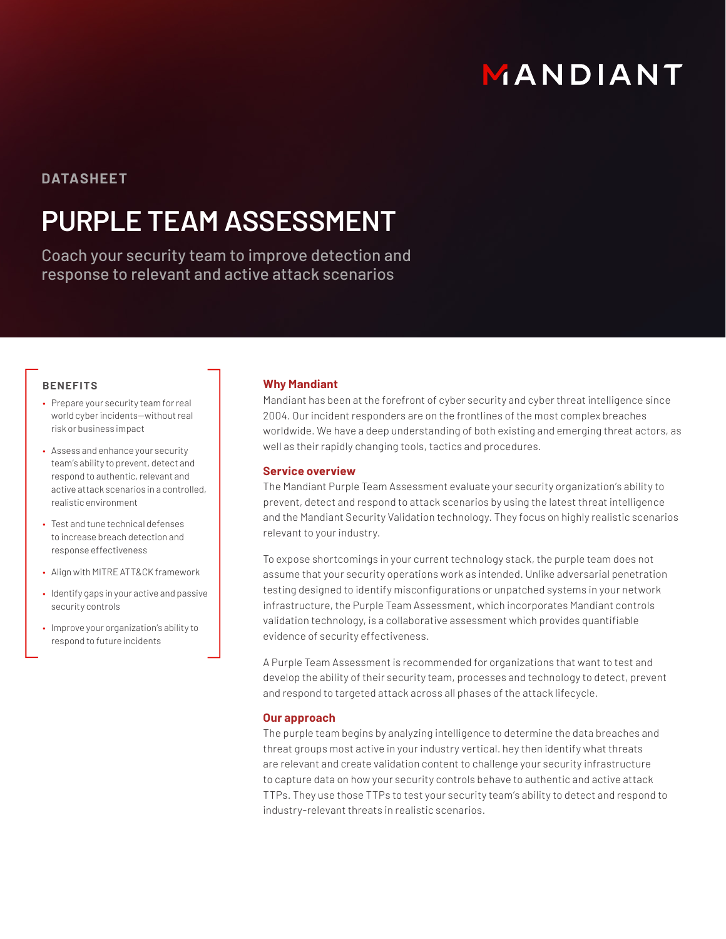# MANDIANT

### **DATASHEET**

## **PURPLE TEAM ASSESSMENT**

Coach your security team to improve detection and response to relevant and active attack scenarios

#### **BENEFITS**

- Prepare your security team for real world cyber incidents—without real risk or business impact
- Assess and enhance your security team's ability to prevent, detect and respond to authentic, relevant and active attack scenarios in a controlled, realistic environment
- Test and tune technical defenses to increase breach detection and response effectiveness
- Align with MITRE ATT&CK framework
- Identify gaps in your active and passive security controls
- Improve your organization's ability to respond to future incidents

#### **Why Mandiant**

Mandiant has been at the forefront of cyber security and cyber threat intelligence since 2004. Our incident responders are on the frontlines of the most complex breaches worldwide. We have a deep understanding of both existing and emerging threat actors, as well as their rapidly changing tools, tactics and procedures.

#### **Service overview**

The Mandiant Purple Team Assessment evaluate your security organization's ability to prevent, detect and respond to attack scenarios by using the latest threat intelligence and the Mandiant Security Validation technology. They focus on highly realistic scenarios relevant to your industry.

To expose shortcomings in your current technology stack, the purple team does not assume that your security operations work as intended. Unlike adversarial penetration testing designed to identify misconfigurations or unpatched systems in your network infrastructure, the Purple Team Assessment, which incorporates Mandiant controls validation technology, is a collaborative assessment which provides quantifiable evidence of security effectiveness.

A Purple Team Assessment is recommended for organizations that want to test and develop the ability of their security team, processes and technology to detect, prevent and respond to targeted attack across all phases of the attack lifecycle.

#### **Our approach**

The purple team begins by analyzing intelligence to determine the data breaches and threat groups most active in your industry vertical. hey then identify what threats are relevant and create validation content to challenge your security infrastructure to capture data on how your security controls behave to authentic and active attack TTPs. They use those TTPs to test your security team's ability to detect and respond to industry-relevant threats in realistic scenarios.